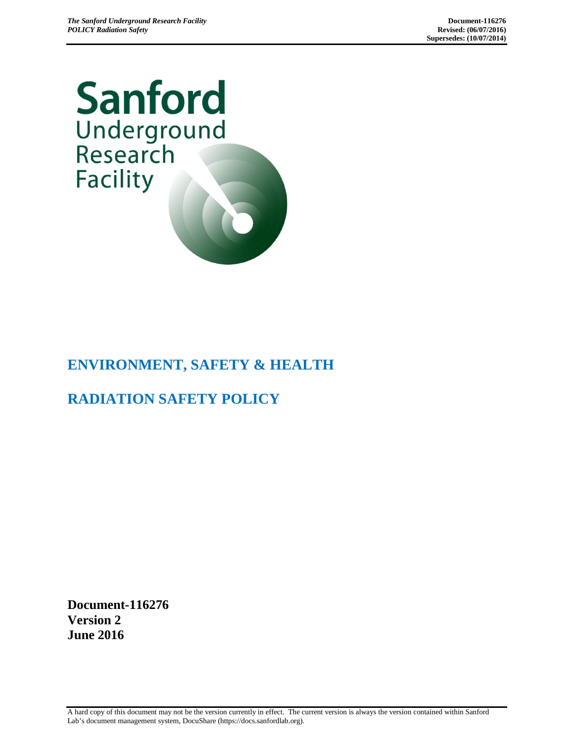**Sanford** Underground<br>Research **Facility** 

# **ENVIRONMENT, SAFETY & HEALTH**

# **RADIATION SAFETY POLICY**

**Document-116276 Version 2 June 2016**

A hard copy of this document may not be the version currently in effect. The current version is always the version contained within Sanford Lab's document management system, DocuShare (https://docs.sanfordlab.org).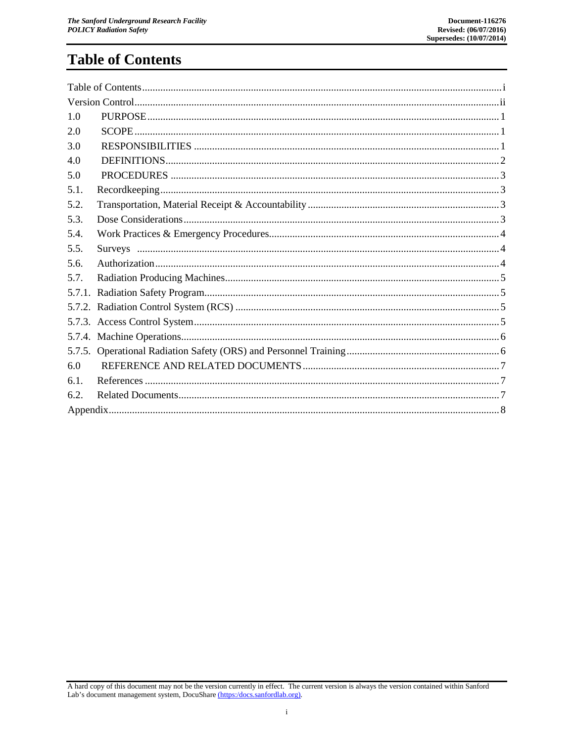# <span id="page-1-0"></span>**Table of Contents**

| 1.0  |  |  |  |  |  |  |
|------|--|--|--|--|--|--|
| 2.0  |  |  |  |  |  |  |
| 3.0  |  |  |  |  |  |  |
| 4.0  |  |  |  |  |  |  |
| 5.0  |  |  |  |  |  |  |
| 5.1. |  |  |  |  |  |  |
| 5.2. |  |  |  |  |  |  |
| 5.3. |  |  |  |  |  |  |
| 5.4. |  |  |  |  |  |  |
| 5.5. |  |  |  |  |  |  |
| 5.6. |  |  |  |  |  |  |
| 5.7. |  |  |  |  |  |  |
|      |  |  |  |  |  |  |
|      |  |  |  |  |  |  |
|      |  |  |  |  |  |  |
|      |  |  |  |  |  |  |
|      |  |  |  |  |  |  |
| 6.0  |  |  |  |  |  |  |
| 6.1. |  |  |  |  |  |  |
| 6.2. |  |  |  |  |  |  |
|      |  |  |  |  |  |  |

A hard copy of this document may not be the version currently in effect. The current version is always the version contained within Sanford Lab's document management system, DocuShare (https://docs.sanfordlab.org).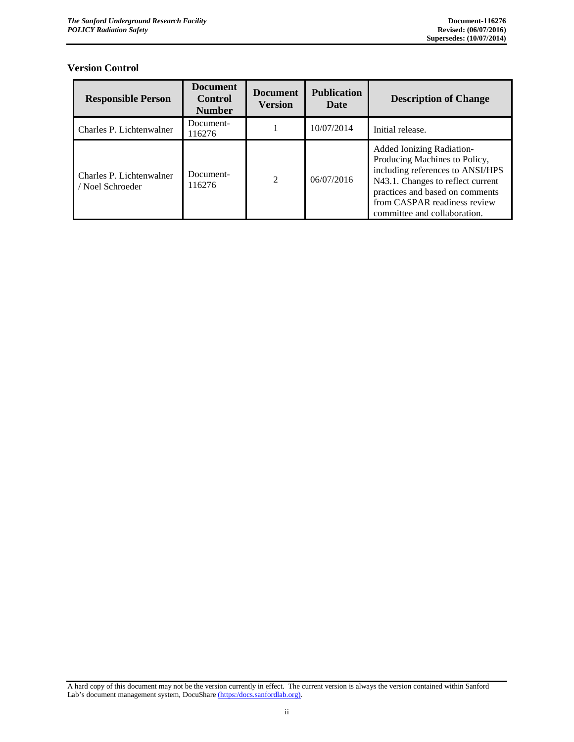#### <span id="page-2-0"></span>**Version Control**

| <b>Responsible Person</b>                    | <b>Document</b><br><b>Control</b><br><b>Number</b> | <b>Document</b><br><b>Version</b> | <b>Publication</b><br>Date | <b>Description of Change</b>                                                                                                                                                                                                                  |
|----------------------------------------------|----------------------------------------------------|-----------------------------------|----------------------------|-----------------------------------------------------------------------------------------------------------------------------------------------------------------------------------------------------------------------------------------------|
| Charles P. Lichtenwalner                     | Document-<br>116276                                |                                   | 10/07/2014                 | Initial release.                                                                                                                                                                                                                              |
| Charles P. Lichtenwalner<br>/ Noel Schroeder | Document-<br>116276                                | $\overline{2}$                    | 06/07/2016                 | <b>Added Ionizing Radiation-</b><br>Producing Machines to Policy,<br>including references to ANSI/HPS<br>N43.1. Changes to reflect current<br>practices and based on comments<br>from CASPAR readiness review<br>committee and collaboration. |

A hard copy of this document may not be the version currently in effect. The current version is always the version contained within Sanford Lab's document management system, DocuShar[e \(https:/docs.sanfordlab.org\).](https://docs.sanfordlab.org/)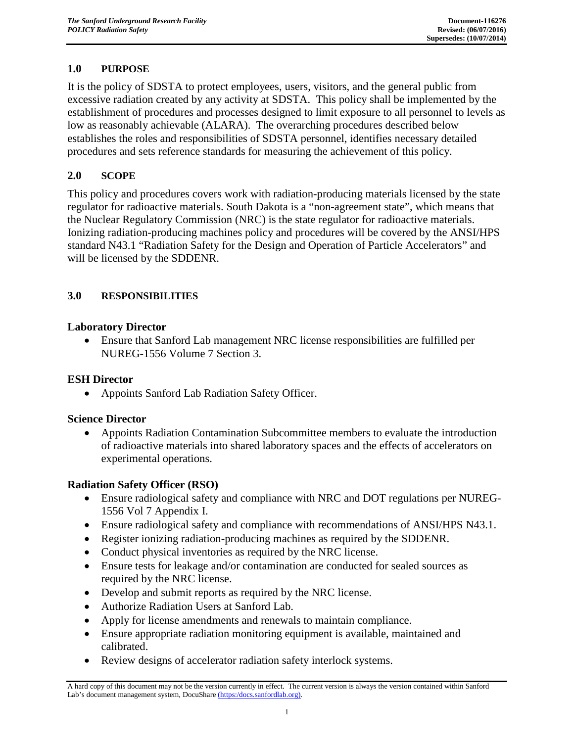# <span id="page-3-0"></span>**1.0 PURPOSE**

It is the policy of SDSTA to protect employees, users, visitors, and the general public from excessive radiation created by any activity at SDSTA. This policy shall be implemented by the establishment of procedures and processes designed to limit exposure to all personnel to levels as low as reasonably achievable (ALARA). The overarching procedures described below establishes the roles and responsibilities of SDSTA personnel, identifies necessary detailed procedures and sets reference standards for measuring the achievement of this policy.

# <span id="page-3-1"></span>**2.0 SCOPE**

This policy and procedures covers work with radiation-producing materials licensed by the state regulator for radioactive materials. South Dakota is a "non-agreement state", which means that the Nuclear Regulatory Commission (NRC) is the state regulator for radioactive materials. Ionizing radiation-producing machines policy and procedures will be covered by the ANSI/HPS standard N43.1 "Radiation Safety for the Design and Operation of Particle Accelerators" and will be licensed by the SDDENR.

# <span id="page-3-2"></span>**3.0 RESPONSIBILITIES**

# **Laboratory Director**

• Ensure that Sanford Lab management NRC license responsibilities are fulfilled per NUREG-1556 Volume 7 Section 3.

# **ESH Director**

• Appoints Sanford Lab Radiation Safety Officer.

# **Science Director**

• Appoints Radiation Contamination Subcommittee members to evaluate the introduction of radioactive materials into shared laboratory spaces and the effects of accelerators on experimental operations.

# **Radiation Safety Officer (RSO)**

- Ensure radiological safety and compliance with NRC and DOT regulations per NUREG-1556 Vol 7 Appendix I.
- Ensure radiological safety and compliance with recommendations of ANSI/HPS N43.1.
- Register ionizing radiation-producing machines as required by the SDDENR.
- Conduct physical inventories as required by the NRC license.
- Ensure tests for leakage and/or contamination are conducted for sealed sources as required by the NRC license.
- Develop and submit reports as required by the NRC license.
- Authorize Radiation Users at Sanford Lab.
- Apply for license amendments and renewals to maintain compliance.
- Ensure appropriate radiation monitoring equipment is available, maintained and calibrated.
- Review designs of accelerator radiation safety interlock systems.

A hard copy of this document may not be the version currently in effect. The current version is always the version contained within Sanford Lab's document management system, DocuShar[e \(https:/docs.sanfordlab.org\).](https://docs.sanfordlab.org/)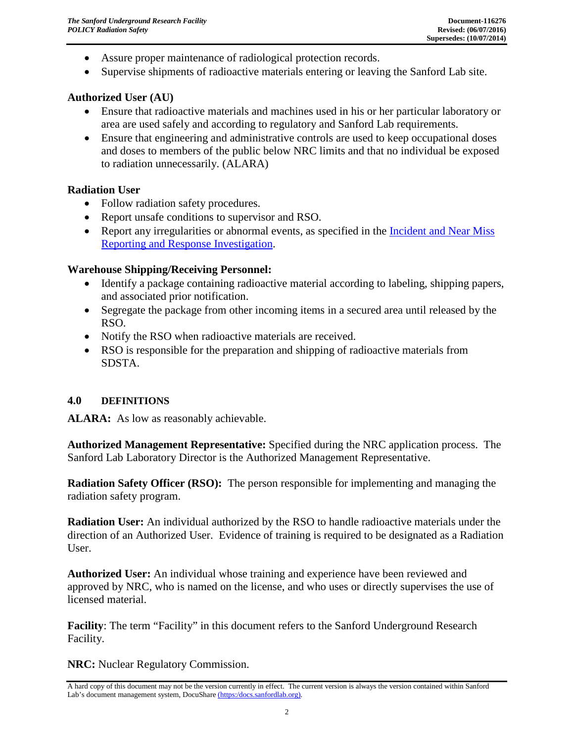- Assure proper maintenance of radiological protection records.
- Supervise shipments of radioactive materials entering or leaving the Sanford Lab site.

## **Authorized User (AU)**

- Ensure that radioactive materials and machines used in his or her particular laboratory or area are used safely and according to regulatory and Sanford Lab requirements.
- Ensure that engineering and administrative controls are used to keep occupational doses and doses to members of the public below NRC limits and that no individual be exposed to radiation unnecessarily. (ALARA)

## **Radiation User**

- Follow radiation safety procedures.
- Report unsafe conditions to supervisor and RSO.
- Report any irregularities or abnormal events, as specified in the **Incident and Near Miss** Reporting [and Response](https://docs.sanfordlab.org/docushare/dsweb/Get/Document-73314/) Investigation.

## **Warehouse Shipping/Receiving Personnel:**

- Identify a package containing radioactive material according to labeling, shipping papers, and associated prior notification.
- Segregate the package from other incoming items in a secured area until released by the RSO.
- Notify the RSO when radioactive materials are received.
- RSO is responsible for the preparation and shipping of radioactive materials from SDSTA.

#### <span id="page-4-0"></span>**4.0 DEFINITIONS**

**ALARA:** As low as reasonably achievable.

**Authorized Management Representative:** Specified during the NRC application process. The Sanford Lab Laboratory Director is the Authorized Management Representative.

**Radiation Safety Officer (RSO):** The person responsible for implementing and managing the radiation safety program.

**Radiation User:** An individual authorized by the RSO to handle radioactive materials under the direction of an Authorized User. Evidence of training is required to be designated as a Radiation User.

**Authorized User:** An individual whose training and experience have been reviewed and approved by NRC, who is named on the license, and who uses or directly supervises the use of licensed material.

**Facility**: The term "Facility" in this document refers to the Sanford Underground Research Facility.

**NRC:** Nuclear Regulatory Commission.

A hard copy of this document may not be the version currently in effect. The current version is always the version contained within Sanford Lab's document management system, DocuShar[e \(https:/docs.sanfordlab.org\).](https://docs.sanfordlab.org/)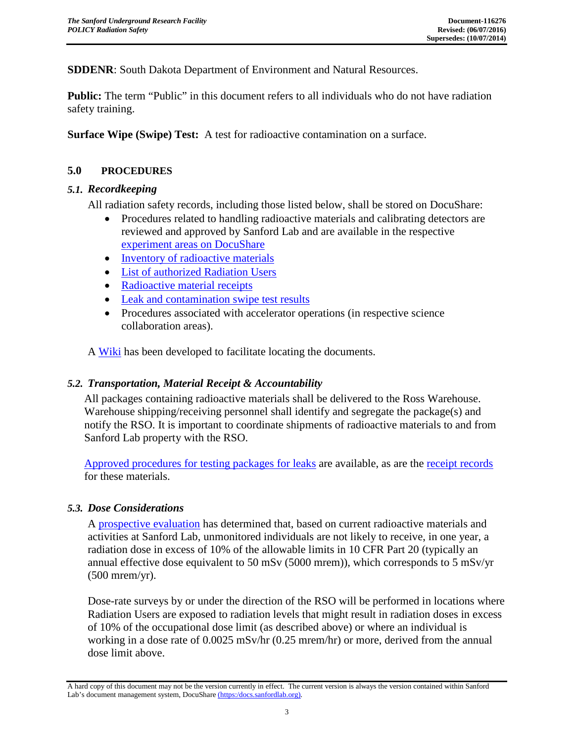**SDDENR**: South Dakota Department of Environment and Natural Resources.

**Public:** The term "Public" in this document refers to all individuals who do not have radiation safety training.

**Surface Wipe (Swipe) Test:** A test for radioactive contamination on a surface.

### <span id="page-5-0"></span>**5.0 PROCEDURES**

## <span id="page-5-1"></span>*5.1. Recordkeeping*

All radiation safety records, including those listed below, shall be stored on DocuShare:

- Procedures related to handling radioactive materials and calibrating detectors are reviewed and approved by Sanford Lab and are available in the respective [experiment areas on DocuShare](https://docs.sanfordlab.org/docushare/dsweb/View/Collection-6895)
- [Inventory of radioactive materials](https://docs.google.com/spreadsheets/d/1dmykXM-U_0-0uQsoouyMlA1WubOGBu6IhcuQehruySs/edit#gid=885254967)
- [List of authorized Radiation Users](https://docs.google.com/spreadsheets/d/1InKxBUI33kxFstganzFGpmJtNb3FZ_8S0O0TreXTu9g/edit#gid=0)
- [Radioactive material receipts](https://docs.sanfordlab.org/docushare/dsweb/View/Collection-17096)
- Leak and contamination swipe test results
- Procedures associated with accelerator operations (in respective science collaboration areas).

A [Wiki](https://docs.sanfordlab.org/docushare/dsweb/View/Wiki-271) has been developed to facilitate locating the documents.

#### <span id="page-5-2"></span>*5.2. Transportation, Material Receipt & Accountability*

All packages containing radioactive materials shall be delivered to the Ross Warehouse. Warehouse shipping/receiving personnel shall identify and segregate the package(s) and notify the RSO. It is important to coordinate shipments of radioactive materials to and from Sanford Lab property with the RSO.

[Approved procedures for testing packages for leaks](https://docs.sanfordlab.org/docushare/dsweb/Get/Document-96121/Radioactive%20Materials%20Reciept%20Form.pdf) are available, as are the [receipt records](https://docs.sanfordlab.org/docushare/dsweb/View/Collection-17096) for these materials.

#### <span id="page-5-3"></span>*5.3. Dose Considerations*

A [prospective evaluation](https://docs.sanfordlab.org/docushare/dsweb/View/Document-105959) has determined that, based on current radioactive materials and activities at Sanford Lab, unmonitored individuals are not likely to receive, in one year, a radiation dose in excess of 10% of the allowable limits in 10 CFR Part 20 (typically an annual effective dose equivalent to 50 mSv (5000 mrem)), which corresponds to 5 mSv/yr (500 mrem/yr).

Dose-rate surveys by or under the direction of the RSO will be performed in locations where Radiation Users are exposed to radiation levels that might result in radiation doses in excess of 10% of the occupational dose limit (as described above) or where an individual is working in a dose rate of 0.0025 mSv/hr (0.25 mrem/hr) or more, derived from the annual dose limit above.

A hard copy of this document may not be the version currently in effect. The current version is always the version contained within Sanford Lab's document management system, DocuShar[e \(https:/docs.sanfordlab.org\).](https://docs.sanfordlab.org/)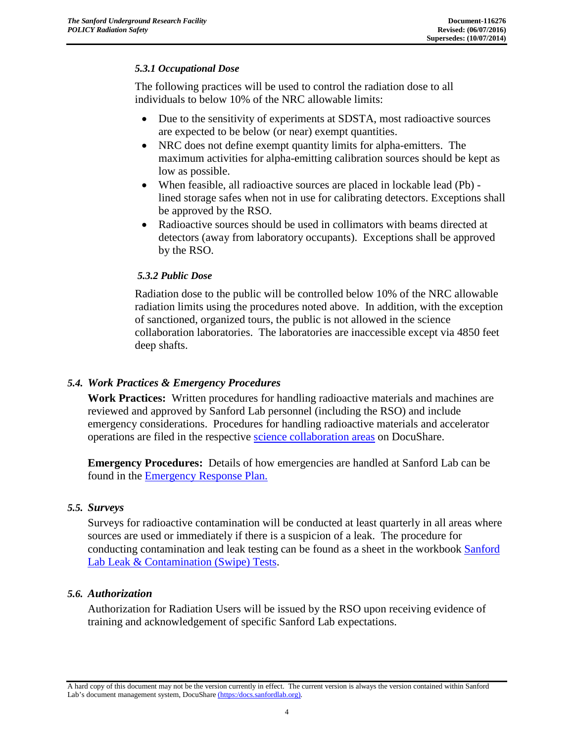## *5.3.1 Occupational Dose*

The following practices will be used to control the radiation dose to all individuals to below 10% of the NRC allowable limits:

- Due to the sensitivity of experiments at SDSTA, most radioactive sources are expected to be below (or near) exempt quantities.
- NRC does not define exempt quantity limits for alpha-emitters. The maximum activities for alpha-emitting calibration sources should be kept as low as possible.
- When feasible, all radioactive sources are placed in lockable lead (Pb) lined storage safes when not in use for calibrating detectors. Exceptions shall be approved by the RSO.
- Radioactive sources should be used in collimators with beams directed at detectors (away from laboratory occupants). Exceptions shall be approved by the RSO.

## *5.3.2 Public Dose*

Radiation dose to the public will be controlled below 10% of the NRC allowable radiation limits using the procedures noted above. In addition, with the exception of sanctioned, organized tours, the public is not allowed in the science collaboration laboratories. The laboratories are inaccessible except via 4850 feet deep shafts.

# <span id="page-6-0"></span>*5.4. Work Practices & Emergency Procedures*

**Work Practices:** Written procedures for handling radioactive materials and machines are reviewed and approved by Sanford Lab personnel (including the RSO) and include emergency considerations. Procedures for handling radioactive materials and accelerator operations are filed in the respective [science collaboration areas](https://docs.sanfordlab.org/docushare/dsweb/View/Collection-6895) on DocuShare.

**Emergency Procedures:** Details of how emergencies are handled at Sanford Lab can be found in the [Emergency Response Plan.](https://docs.sanfordlab.org/docushare/dsweb/Get/Document-73218/)

# <span id="page-6-1"></span>*5.5. Surveys*

Surveys for radioactive contamination will be conducted at least quarterly in all areas where sources are used or immediately if there is a suspicion of a leak. The procedure for conducting contamination and leak testing can be found as a sheet in the workbook Sanford Lab [Leak & Contamination \(Swipe\) Tests.](https://sanfordlab-my.sharepoint.com/personal/clichtenwalner_sanfordlab_org/_layouts/15/guestaccess.aspx?guestaccesstoken=kQZvXPfDm0XaXXOQdn0ZWHabO%2fdAVgKal%2f4PnE6EsVQ%3d&docid=0da058d2d68f941858b26c41c191290e9)

# <span id="page-6-2"></span>*5.6. Authorization*

Authorization for Radiation Users will be issued by the RSO upon receiving evidence of training and acknowledgement of specific Sanford Lab expectations.

A hard copy of this document may not be the version currently in effect. The current version is always the version contained within Sanford Lab's document management system, DocuShar[e \(https:/docs.sanfordlab.org\).](https://docs.sanfordlab.org/)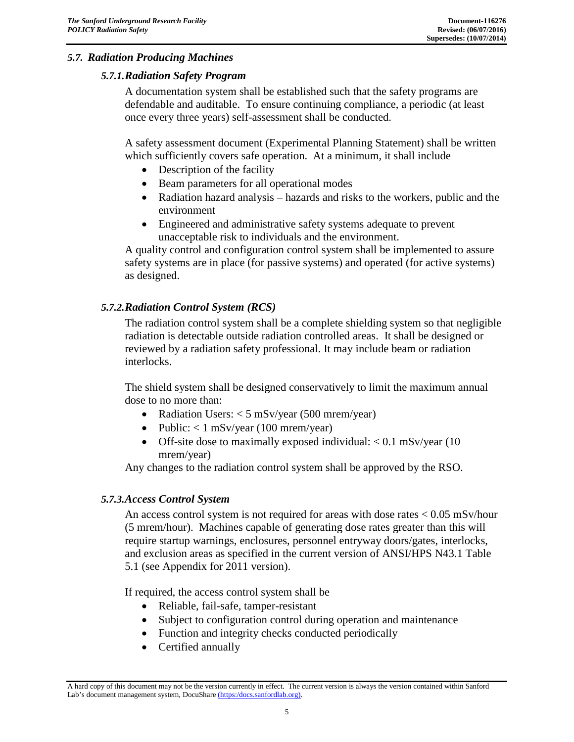# <span id="page-7-1"></span><span id="page-7-0"></span>*5.7. Radiation Producing Machines*

#### *5.7.1.Radiation Safety Program*

A documentation system shall be established such that the safety programs are defendable and auditable. To ensure continuing compliance, a periodic (at least once every three years) self-assessment shall be conducted.

A safety assessment document (Experimental Planning Statement) shall be written which sufficiently covers safe operation. At a minimum, it shall include

- Description of the facility
- Beam parameters for all operational modes
- Radiation hazard analysis hazards and risks to the workers, public and the environment
- Engineered and administrative safety systems adequate to prevent unacceptable risk to individuals and the environment.

A quality control and configuration control system shall be implemented to assure safety systems are in place (for passive systems) and operated (for active systems) as designed.

## <span id="page-7-2"></span>*5.7.2.Radiation Control System (RCS)*

The radiation control system shall be a complete shielding system so that negligible radiation is detectable outside radiation controlled areas. It shall be designed or reviewed by a radiation safety professional. It may include beam or radiation interlocks.

The shield system shall be designed conservatively to limit the maximum annual dose to no more than:

- Radiation Users: < 5 mSv/year (500 mrem/year)
- Public:  $< 1$  mSv/year (100 mrem/year)
- Off-site dose to maximally exposed individual:  $< 0.1$  mSv/year (10) mrem/year)

Any changes to the radiation control system shall be approved by the RSO.

#### <span id="page-7-3"></span>*5.7.3.Access Control System*

An access control system is not required for areas with dose rates < 0.05 mSv/hour (5 mrem/hour). Machines capable of generating dose rates greater than this will require startup warnings, enclosures, personnel entryway doors/gates, interlocks, and exclusion areas as specified in the current version of ANSI/HPS N43.1 Table 5.1 (see Appendix for 2011 version).

If required, the access control system shall be

- Reliable, fail-safe, tamper-resistant
- Subject to configuration control during operation and maintenance
- Function and integrity checks conducted periodically
- Certified annually

A hard copy of this document may not be the version currently in effect. The current version is always the version contained within Sanford Lab's document management system, DocuShar[e \(https:/docs.sanfordlab.org\).](https://docs.sanfordlab.org/)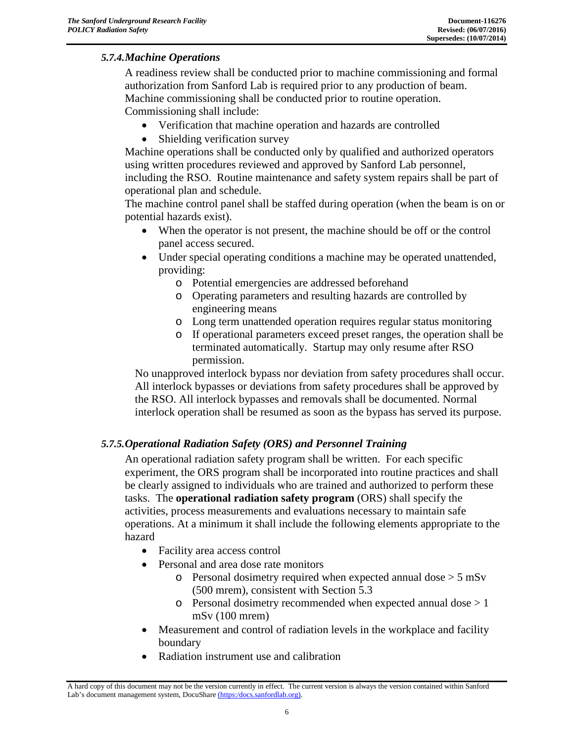# <span id="page-8-0"></span>*5.7.4.Machine Operations*

A readiness review shall be conducted prior to machine commissioning and formal authorization from Sanford Lab is required prior to any production of beam. Machine commissioning shall be conducted prior to routine operation. Commissioning shall include:

- Verification that machine operation and hazards are controlled
- Shielding verification survey

Machine operations shall be conducted only by qualified and authorized operators using written procedures reviewed and approved by Sanford Lab personnel, including the RSO. Routine maintenance and safety system repairs shall be part of operational plan and schedule.

The machine control panel shall be staffed during operation (when the beam is on or potential hazards exist).

- When the operator is not present, the machine should be off or the control panel access secured.
- Under special operating conditions a machine may be operated unattended, providing:
	- o Potential emergencies are addressed beforehand
	- o Operating parameters and resulting hazards are controlled by engineering means
	- o Long term unattended operation requires regular status monitoring
	- o If operational parameters exceed preset ranges, the operation shall be terminated automatically. Startup may only resume after RSO permission.

No unapproved interlock bypass nor deviation from safety procedures shall occur. All interlock bypasses or deviations from safety procedures shall be approved by the RSO. All interlock bypasses and removals shall be documented. Normal interlock operation shall be resumed as soon as the bypass has served its purpose.

# <span id="page-8-1"></span>*5.7.5.Operational Radiation Safety (ORS) and Personnel Training*

An operational radiation safety program shall be written. For each specific experiment, the ORS program shall be incorporated into routine practices and shall be clearly assigned to individuals who are trained and authorized to perform these tasks. The **operational radiation safety program** (ORS) shall specify the activities, process measurements and evaluations necessary to maintain safe operations. At a minimum it shall include the following elements appropriate to the hazard

- Facility area access control
- Personal and area dose rate monitors
	- $\circ$  Personal dosimetry required when expected annual dose  $> 5$  mSv (500 mrem), consistent with Section 5.3
	- o Personal dosimetry recommended when expected annual dose > 1 mSv (100 mrem)
- Measurement and control of radiation levels in the workplace and facility boundary
- Radiation instrument use and calibration

A hard copy of this document may not be the version currently in effect. The current version is always the version contained within Sanford Lab's document management system, DocuShar[e \(https:/docs.sanfordlab.org\).](https://docs.sanfordlab.org/)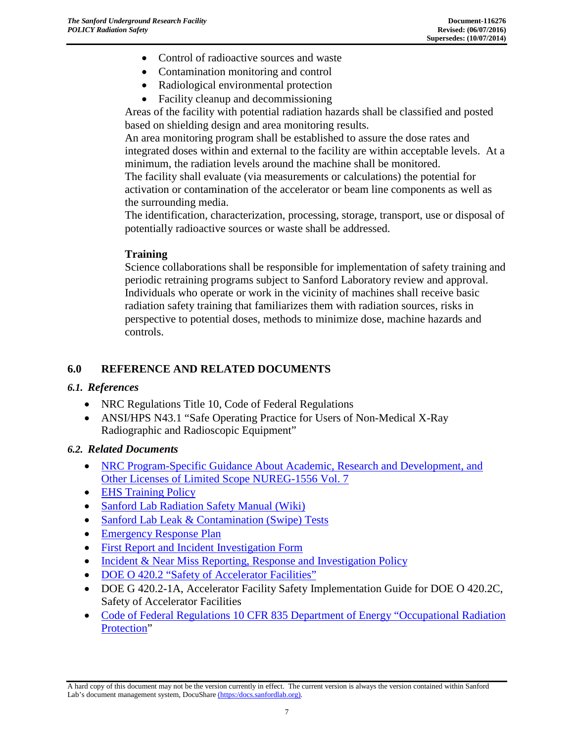- Control of radioactive sources and waste
- Contamination monitoring and control
- Radiological environmental protection
- Facility cleanup and decommissioning

Areas of the facility with potential radiation hazards shall be classified and posted based on shielding design and area monitoring results.

An area monitoring program shall be established to assure the dose rates and integrated doses within and external to the facility are within acceptable levels. At a minimum, the radiation levels around the machine shall be monitored.

The facility shall evaluate (via measurements or calculations) the potential for activation or contamination of the accelerator or beam line components as well as the surrounding media.

The identification, characterization, processing, storage, transport, use or disposal of potentially radioactive sources or waste shall be addressed.

## **Training**

Science collaborations shall be responsible for implementation of safety training and periodic retraining programs subject to Sanford Laboratory review and approval. Individuals who operate or work in the vicinity of machines shall receive basic radiation safety training that familiarizes them with radiation sources, risks in perspective to potential doses, methods to minimize dose, machine hazards and controls.

## <span id="page-9-0"></span>**6.0 REFERENCE AND RELATED DOCUMENTS**

#### <span id="page-9-1"></span>*6.1. References*

- NRC Regulations Title 10, Code of Federal Regulations
- ANSI/HPS N43.1 "Safe Operating Practice for Users of Non-Medical X-Ray Radiographic and Radioscopic Equipment"

#### <span id="page-9-2"></span>*6.2. Related Documents*

- [NRC Program-Specific Guidance About Academic, Research and Development, and](http://www.nrc.gov/reading-rm/doc-collections/nuregs/staff/sr1556/v7/r1/)  [Other Licenses of Limited Scope NUREG-1556 Vol. 7](http://www.nrc.gov/reading-rm/doc-collections/nuregs/staff/sr1556/v7/r1/)
- **[EHS Training Policy](https://docs.sanfordlab.org/docushare/dsweb/Get/Document-73354/)**
- Sanford Lab [Radiation Safety Manual \(Wiki\)](https://docs.sanfordlab.org/docushare/dsweb/View/Wiki-271)
- Sanford Lab [Leak & Contamination \(Swipe\) Tests](hhttps://sanfordlab-my.sharepoint.com/personal/clichtenwalner_sanfordlab_org/_layouts/15/guestaccess.aspx?guestaccesstoken=kQZvXPfDm0XaXXOQdn0ZWHabO%2fdAVgKal%2f4PnE6EsVQ%3d&docid=0da058d2d68f941858b26c41c191290e9)
- [Emergency Response Plan](https://docs.sanfordlab.org/docushare/dsweb/Get/Document-73218/)
- [First Report and Incident Investigation Form](https://docs.sanfordlab.org/docushare/dsweb/Get/Document-79359/)
- Incident & Near Miss Reporting, Response and Investigation Policy
- DOE O [420.2 "Safety of Accelerator Facilities"](https://www.directives.doe.gov/directives-documents/400-series/0420.2-EGuide-1a)
- DOE G 420.2-1A, Accelerator Facility Safety Implementation Guide for DOE O 420.2C, Safety of Accelerator Facilities
- Code of Federal Regulations 10 CFR 835 Department of Energy "Occupational Radiation [Protection"](http://www.ecfr.gov/cgi-bin/text-idx?tpl=/ecfrbrowse/Title10/10cfr835_main_02.tpl)

A hard copy of this document may not be the version currently in effect. The current version is always the version contained within Sanford Lab's document management system, DocuShar[e \(https:/docs.sanfordlab.org\).](https://docs.sanfordlab.org/)